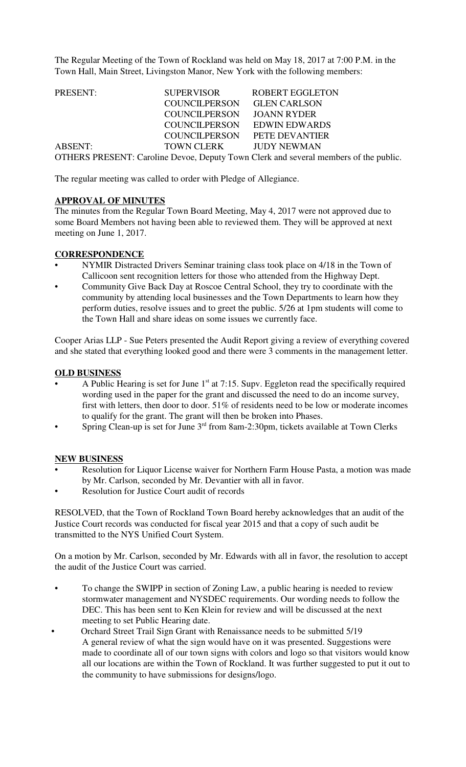The Regular Meeting of the Town of Rockland was held on May 18, 2017 at 7:00 P.M. in the Town Hall, Main Street, Livingston Manor, New York with the following members:

| PRESENT:       | <b>SUPERVISOR</b>      | <b>ROBERT EGGLETON</b>                                                               |  |
|----------------|------------------------|--------------------------------------------------------------------------------------|--|
|                | <b>COUNCILPERSON</b>   | <b>GLEN CARLSON</b>                                                                  |  |
|                | <b>COUNCILPERSON</b>   | <b>JOANN RYDER</b>                                                                   |  |
|                | <b>COUNCILPERSON</b>   | <b>EDWIN EDWARDS</b>                                                                 |  |
|                | <b>COUNCILPERSON</b>   | PETE DEVANTIER                                                                       |  |
| <b>ABSENT:</b> | TOWN CLERK JUDY NEWMAN |                                                                                      |  |
|                |                        | OTHERS PRESENT: Caroline Devoe, Deputy Town Clerk and several members of the public. |  |

The regular meeting was called to order with Pledge of Allegiance.

### **APPROVAL OF MINUTES**

The minutes from the Regular Town Board Meeting, May 4, 2017 were not approved due to some Board Members not having been able to reviewed them. They will be approved at next meeting on June 1, 2017.

### **CORRESPONDENCE**

- NYMIR Distracted Drivers Seminar training class took place on 4/18 in the Town of Callicoon sent recognition letters for those who attended from the Highway Dept.
- Community Give Back Day at Roscoe Central School, they try to coordinate with the community by attending local businesses and the Town Departments to learn how they perform duties, resolve issues and to greet the public. 5/26 at 1pm students will come to the Town Hall and share ideas on some issues we currently face.

Cooper Arias LLP - Sue Peters presented the Audit Report giving a review of everything covered and she stated that everything looked good and there were 3 comments in the management letter.

#### **OLD BUSINESS**

- A Public Hearing is set for June  $1<sup>st</sup>$  at 7:15. Supv. Eggleton read the specifically required wording used in the paper for the grant and discussed the need to do an income survey, first with letters, then door to door. 51% of residents need to be low or moderate incomes to qualify for the grant. The grant will then be broken into Phases.
- Spring Clean-up is set for June  $3<sup>rd</sup>$  from 8am-2:30pm, tickets available at Town Clerks

### **NEW BUSINESS**

- Resolution for Liquor License waiver for Northern Farm House Pasta, a motion was made by Mr. Carlson, seconded by Mr. Devantier with all in favor.
- Resolution for Justice Court audit of records

RESOLVED, that the Town of Rockland Town Board hereby acknowledges that an audit of the Justice Court records was conducted for fiscal year 2015 and that a copy of such audit be transmitted to the NYS Unified Court System.

On a motion by Mr. Carlson, seconded by Mr. Edwards with all in favor, the resolution to accept the audit of the Justice Court was carried.

- To change the SWIPP in section of Zoning Law, a public hearing is needed to review stormwater management and NYSDEC requirements. Our wording needs to follow the DEC. This has been sent to Ken Klein for review and will be discussed at the next meeting to set Public Hearing date.
- Orchard Street Trail Sign Grant with Renaissance needs to be submitted 5/19 A general review of what the sign would have on it was presented. Suggestions were made to coordinate all of our town signs with colors and logo so that visitors would know all our locations are within the Town of Rockland. It was further suggested to put it out to the community to have submissions for designs/logo.